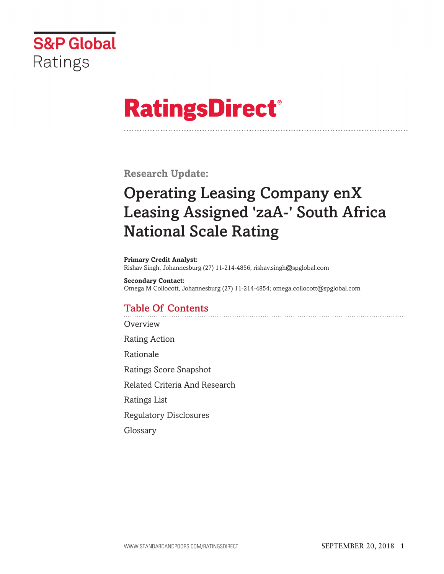

# **RatingsDirect®**

**Research Update:**

## **Operating Leasing Company enX Leasing Assigned 'zaA-' South Africa National Scale Rating**

**Primary Credit Analyst:** Rishav Singh, Johannesburg (27) 11-214-4856; rishav.singh@spglobal.com

**Secondary Contact:** Omega M Collocott, Johannesburg (27) 11-214-4854; omega.collocott@spglobal.com

## **Table Of Contents**

**[Overview](#page-1-0)** 

Rating [Action](#page-1-0)

[Rationale](#page-1-0)

Ratings Score [Snapshot](#page-5-0)

Related Criteria And [Research](#page-5-0)

[Ratings](#page-6-0) List

Regulatory [Disclosures](#page-6-0)

[Glossary](#page-6-0)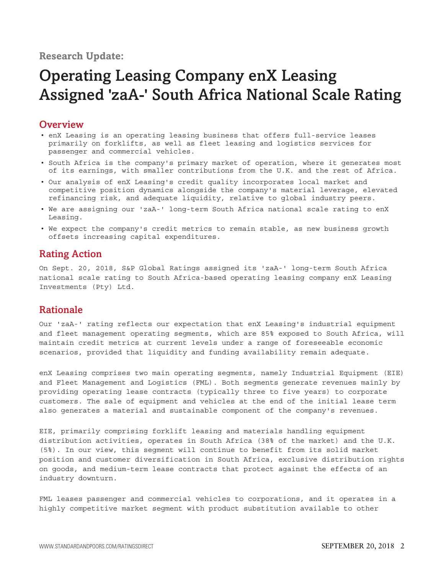## <span id="page-1-0"></span>**Research Update:**

## **Operating Leasing Company enX Leasing Assigned 'zaA-' South Africa National Scale Rating**

## **Overview**

- enX Leasing is an operating leasing business that offers full-service leases primarily on forklifts, as well as fleet leasing and logistics services for passenger and commercial vehicles.
- South Africa is the company's primary market of operation, where it generates most of its earnings, with smaller contributions from the U.K. and the rest of Africa.
- Our analysis of enX Leasing's credit quality incorporates local market and competitive position dynamics alongside the company's material leverage, elevated refinancing risk, and adequate liquidity, relative to global industry peers.
- We are assigning our 'zaA-' long-term South Africa national scale rating to enX Leasing.
- We expect the company's credit metrics to remain stable, as new business growth offsets increasing capital expenditures.

## **Rating Action**

On Sept. 20, 2018, S&P Global Ratings assigned its 'zaA-' long-term South Africa national scale rating to South Africa-based operating leasing company enX Leasing Investments (Pty) Ltd.

## **Rationale**

Our 'zaA-' rating reflects our expectation that enX Leasing's industrial equipment and fleet management operating segments, which are 85% exposed to South Africa, will maintain credit metrics at current levels under a range of foreseeable economic scenarios, provided that liquidity and funding availability remain adequate.

enX Leasing comprises two main operating segments, namely Industrial Equipment (EIE) and Fleet Management and Logistics (FML). Both segments generate revenues mainly by providing operating lease contracts (typically three to five years) to corporate customers. The sale of equipment and vehicles at the end of the initial lease term also generates a material and sustainable component of the company's revenues.

EIE, primarily comprising forklift leasing and materials handling equipment distribution activities, operates in South Africa (38% of the market) and the U.K. (5%). In our view, this segment will continue to benefit from its solid market position and customer diversification in South Africa, exclusive distribution rights on goods, and medium-term lease contracts that protect against the effects of an industry downturn.

FML leases passenger and commercial vehicles to corporations, and it operates in a highly competitive market segment with product substitution available to other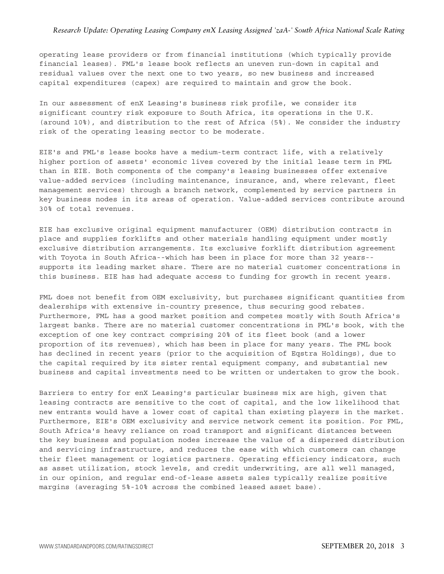#### *Research Update: Operating Leasing Company enX Leasing Assigned 'zaA-' South Africa National Scale Rating*

operating lease providers or from financial institutions (which typically provide financial leases). FML's lease book reflects an uneven run-down in capital and residual values over the next one to two years, so new business and increased capital expenditures (capex) are required to maintain and grow the book.

In our assessment of enX Leasing's business risk profile, we consider its significant country risk exposure to South Africa, its operations in the U.K. (around 10%), and distribution to the rest of Africa (5%). We consider the industry risk of the operating leasing sector to be moderate.

EIE's and FML's lease books have a medium-term contract life, with a relatively higher portion of assets' economic lives covered by the initial lease term in FML than in EIE. Both components of the company's leasing businesses offer extensive value-added services (including maintenance, insurance, and, where relevant, fleet management services) through a branch network, complemented by service partners in key business nodes in its areas of operation. Value-added services contribute around 30% of total revenues.

EIE has exclusive original equipment manufacturer (OEM) distribution contracts in place and supplies forklifts and other materials handling equipment under mostly exclusive distribution arrangements. Its exclusive forklift distribution agreement with Toyota in South Africa--which has been in place for more than 32 years- supports its leading market share. There are no material customer concentrations in this business. EIE has had adequate access to funding for growth in recent years.

FML does not benefit from OEM exclusivity, but purchases significant quantities from dealerships with extensive in-country presence, thus securing good rebates. Furthermore, FML has a good market position and competes mostly with South Africa's largest banks. There are no material customer concentrations in FML's book, with the exception of one key contract comprising 20% of its fleet book (and a lower proportion of its revenues), which has been in place for many years. The FML book has declined in recent years (prior to the acquisition of Eqstra Holdings), due to the capital required by its sister rental equipment company, and substantial new business and capital investments need to be written or undertaken to grow the book.

Barriers to entry for enX Leasing's particular business mix are high, given that leasing contracts are sensitive to the cost of capital, and the low likelihood that new entrants would have a lower cost of capital than existing players in the market. Furthermore, EIE's OEM exclusivity and service network cement its position. For FML, South Africa's heavy reliance on road transport and significant distances between the key business and population nodes increase the value of a dispersed distribution and servicing infrastructure, and reduces the ease with which customers can change their fleet management or logistics partners. Operating efficiency indicators, such as asset utilization, stock levels, and credit underwriting, are all well managed, in our opinion, and regular end-of-lease assets sales typically realize positive margins (averaging 5%-10% across the combined leased asset base).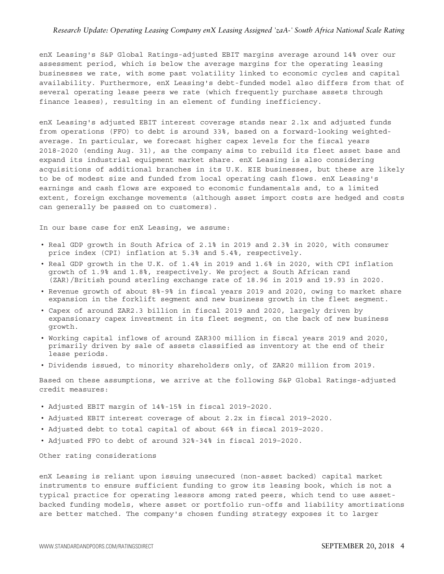#### *Research Update: Operating Leasing Company enX Leasing Assigned 'zaA-' South Africa National Scale Rating*

enX Leasing's S&P Global Ratings-adjusted EBIT margins average around 14% over our assessment period, which is below the average margins for the operating leasing businesses we rate, with some past volatility linked to economic cycles and capital availability. Furthermore, enX Leasing's debt-funded model also differs from that of several operating lease peers we rate (which frequently purchase assets through finance leases), resulting in an element of funding inefficiency.

enX Leasing's adjusted EBIT interest coverage stands near 2.1x and adjusted funds from operations (FFO) to debt is around 33%, based on a forward-looking weightedaverage. In particular, we forecast higher capex levels for the fiscal years 2018-2020 (ending Aug. 31), as the company aims to rebuild its fleet asset base and expand its industrial equipment market share. enX Leasing is also considering acquisitions of additional branches in its U.K. EIE businesses, but these are likely to be of modest size and funded from local operating cash flows. enX Leasing's earnings and cash flows are exposed to economic fundamentals and, to a limited extent, foreign exchange movements (although asset import costs are hedged and costs can generally be passed on to customers).

In our base case for enX Leasing, we assume:

- Real GDP growth in South Africa of 2.1% in 2019 and 2.3% in 2020, with consumer price index (CPI) inflation at 5.3% and 5.4%, respectively.
- Real GDP growth in the U.K. of 1.4% in 2019 and 1.6% in 2020, with CPI inflation growth of 1.9% and 1.8%, respectively. We project a South African rand (ZAR)/British pound sterling exchange rate of 18.96 in 2019 and 19.93 in 2020.
- Revenue growth of about 8%-9% in fiscal years 2019 and 2020, owing to market share expansion in the forklift segment and new business growth in the fleet segment.
- Capex of around ZAR2.3 billion in fiscal 2019 and 2020, largely driven by expansionary capex investment in its fleet segment, on the back of new business growth.
- Working capital inflows of around ZAR300 million in fiscal years 2019 and 2020, primarily driven by sale of assets classified as inventory at the end of their lease periods.
- Dividends issued, to minority shareholders only, of ZAR20 million from 2019.

Based on these assumptions, we arrive at the following S&P Global Ratings-adjusted credit measures:

- Adjusted EBIT margin of 14%-15% in fiscal 2019–2020.
- Adjusted EBIT interest coverage of about 2.2x in fiscal 2019–2020.
- Adjusted debt to total capital of about 66% in fiscal 2019–2020.
- Adjusted FFO to debt of around 32%-34% in fiscal 2019–2020.

Other rating considerations

enX Leasing is reliant upon issuing unsecured (non-asset backed) capital market instruments to ensure sufficient funding to grow its leasing book, which is not a typical practice for operating lessors among rated peers, which tend to use assetbacked funding models, where asset or portfolio run-offs and liability amortizations are better matched. The company's chosen funding strategy exposes it to larger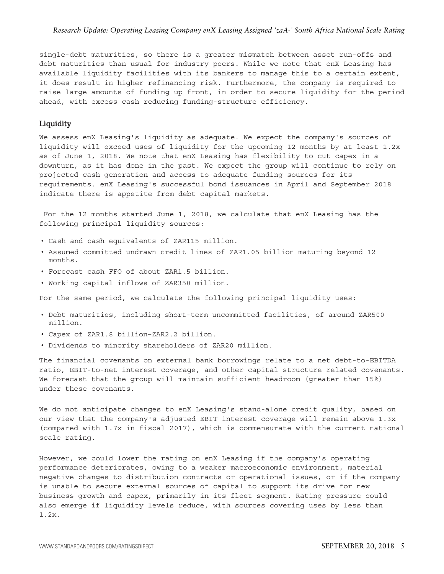single-debt maturities, so there is a greater mismatch between asset run-offs and debt maturities than usual for industry peers. While we note that enX Leasing has available liquidity facilities with its bankers to manage this to a certain extent, it does result in higher refinancing risk. Furthermore, the company is required to raise large amounts of funding up front, in order to secure liquidity for the period ahead, with excess cash reducing funding-structure efficiency.

#### **Liquidity**

We assess enX Leasing's liquidity as adequate. We expect the company's sources of liquidity will exceed uses of liquidity for the upcoming 12 months by at least 1.2x as of June 1, 2018. We note that enX Leasing has flexibility to cut capex in a downturn, as it has done in the past. We expect the group will continue to rely on projected cash generation and access to adequate funding sources for its requirements. enX Leasing's successful bond issuances in April and September 2018 indicate there is appetite from debt capital markets.

For the 12 months started June 1, 2018, we calculate that enX Leasing has the following principal liquidity sources:

- Cash and cash equivalents of ZAR115 million.
- Assumed committed undrawn credit lines of ZAR1.05 billion maturing beyond 12 months.
- Forecast cash FFO of about ZAR1.5 billion.
- Working capital inflows of ZAR350 million.

For the same period, we calculate the following principal liquidity uses:

- Debt maturities, including short-term uncommitted facilities, of around ZAR500 million.
- Capex of ZAR1.8 billion–ZAR2.2 billion.
- Dividends to minority shareholders of ZAR20 million.

The financial covenants on external bank borrowings relate to a net debt-to-EBITDA ratio, EBIT-to-net interest coverage, and other capital structure related covenants. We forecast that the group will maintain sufficient headroom (greater than 15%) under these covenants.

We do not anticipate changes to enX Leasing's stand-alone credit quality, based on our view that the company's adjusted EBIT interest coverage will remain above 1.3x (compared with 1.7x in fiscal 2017), which is commensurate with the current national scale rating.

However, we could lower the rating on enX Leasing if the company's operating performance deteriorates, owing to a weaker macroeconomic environment, material negative changes to distribution contracts or operational issues, or if the company is unable to secure external sources of capital to support its drive for new business growth and capex, primarily in its fleet segment. Rating pressure could also emerge if liquidity levels reduce, with sources covering uses by less than 1.2x.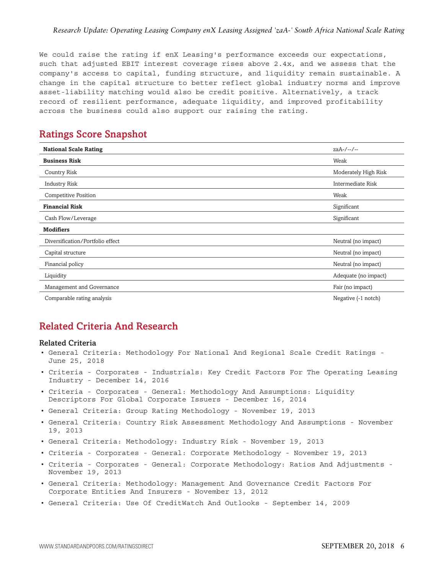<span id="page-5-0"></span>We could raise the rating if enX Leasing's performance exceeds our expectations, such that adjusted EBIT interest coverage rises above 2.4x, and we assess that the company's access to capital, funding structure, and liquidity remain sustainable. A change in the capital structure to better reflect global industry norms and improve asset-liability matching would also be credit positive. Alternatively, a track record of resilient performance, adequate liquidity, and improved profitability across the business could also support our raising the rating.

## **Ratings Score Snapshot**

| <b>National Scale Rating</b>     | zaA-/--/--           |
|----------------------------------|----------------------|
| <b>Business Risk</b>             | Weak                 |
| <b>Country Risk</b>              | Moderately High Risk |
| Industry Risk                    | Intermediate Risk    |
| <b>Competitive Position</b>      | Weak                 |
| <b>Financial Risk</b>            | Significant          |
| Cash Flow/Leverage               | Significant          |
| <b>Modifiers</b>                 |                      |
| Diversification/Portfolio effect | Neutral (no impact)  |
| Capital structure                | Neutral (no impact)  |
| Financial policy                 | Neutral (no impact)  |
| Liquidity                        | Adequate (no impact) |
| Management and Governance        | Fair (no impact)     |
| Comparable rating analysis       | Negative (-1 notch)  |

## **Related Criteria And Research**

#### **Related Criteria**

- General Criteria: Methodology For National And Regional Scale Credit Ratings June 25, 2018
- Criteria Corporates Industrials: Key Credit Factors For The Operating Leasing Industry - December 14, 2016
- Criteria Corporates General: Methodology And Assumptions: Liquidity Descriptors For Global Corporate Issuers - December 16, 2014
- General Criteria: Group Rating Methodology November 19, 2013
- General Criteria: Country Risk Assessment Methodology And Assumptions November 19, 2013
- General Criteria: Methodology: Industry Risk November 19, 2013
- Criteria Corporates General: Corporate Methodology November 19, 2013
- Criteria Corporates General: Corporate Methodology: Ratios And Adjustments November 19, 2013
- General Criteria: Methodology: Management And Governance Credit Factors For Corporate Entities And Insurers - November 13, 2012
- General Criteria: Use Of CreditWatch And Outlooks September 14, 2009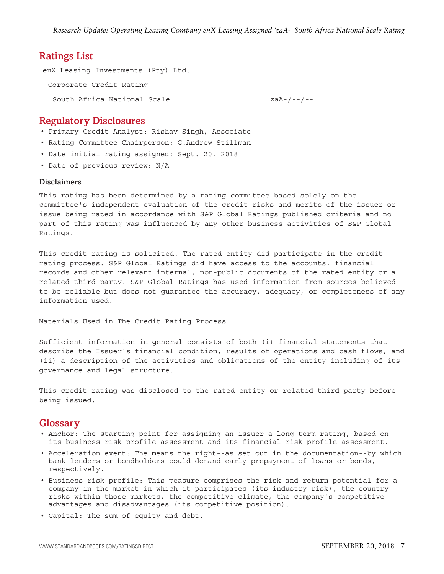#### <span id="page-6-0"></span>**Ratings List**

enX Leasing Investments (Pty) Ltd. Corporate Credit Rating South Africa National Scale  $z^{2}-z^{2}-z^{2}$ 

#### **Regulatory Disclosures**

- Primary Credit Analyst: Rishav Singh, Associate
- Rating Committee Chairperson: G.Andrew Stillman
- Date initial rating assigned: Sept. 20, 2018
- Date of previous review: N/A

#### **Disclaimers**

This rating has been determined by a rating committee based solely on the committee's independent evaluation of the credit risks and merits of the issuer or issue being rated in accordance with S&P Global Ratings published criteria and no part of this rating was influenced by any other business activities of S&P Global Ratings.

This credit rating is solicited. The rated entity did participate in the credit rating process. S&P Global Ratings did have access to the accounts, financial records and other relevant internal, non-public documents of the rated entity or a related third party. S&P Global Ratings has used information from sources believed to be reliable but does not guarantee the accuracy, adequacy, or completeness of any information used.

Materials Used in The Credit Rating Process

Sufficient information in general consists of both (i) financial statements that describe the Issuer's financial condition, results of operations and cash flows, and (ii) a description of the activities and obligations of the entity including of its governance and legal structure.

This credit rating was disclosed to the rated entity or related third party before being issued.

#### **Glossary**

- Anchor: The starting point for assigning an issuer a long-term rating, based on its business risk profile assessment and its financial risk profile assessment.
- Acceleration event: The means the right--as set out in the documentation--by which bank lenders or bondholders could demand early prepayment of loans or bonds, respectively.
- Business risk profile: This measure comprises the risk and return potential for a company in the market in which it participates (its industry risk), the country risks within those markets, the competitive climate, the company's competitive advantages and disadvantages (its competitive position).
- Capital: The sum of equity and debt.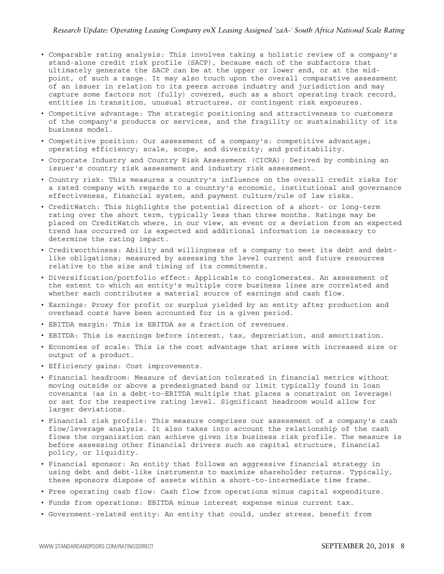- Comparable rating analysis: This involves taking a holistic review of a company's stand-alone credit risk profile (SACP), because each of the subfactors that ultimately generate the SACP can be at the upper or lower end, or at the midpoint, of such a range. It may also touch upon the overall comparative assessment of an issuer in relation to its peers across industry and jurisdiction and may capture some factors not (fully) covered, such as a short operating track record, entities in transition, unusual structures, or contingent risk exposures.
- Competitive advantage: The strategic positioning and attractiveness to customers of the company's products or services, and the fragility or sustainability of its business model.
- Competitive position: Our assessment of a company's: competitive advantage; operating efficiency; scale, scope, and diversity; and profitability.
- Corporate Industry and Country Risk Assessment (CICRA): Derived by combining an issuer's country risk assessment and industry risk assessment.
- Country risk: This measures a country's influence on the overall credit risks for a rated company with regards to a country's economic, institutional and governance effectiveness, financial system, and payment culture/rule of law risks.
- CreditWatch: This highlights the potential direction of a short- or long-term rating over the short term, typically less than three months. Ratings may be placed on CreditWatch where, in our view, an event or a deviation from an expected trend has occurred or is expected and additional information is necessary to determine the rating impact.
- Creditworthiness: Ability and willingness of a company to meet its debt and debtlike obligations; measured by assessing the level current and future resources relative to the size and timing of its commitments.
- Diversification/portfolio effect: Applicable to conglomerates. An assessment of the extent to which an entity's multiple core business lines are correlated and whether each contributes a material source of earnings and cash flow.
- Earnings: Proxy for profit or surplus yielded by an entity after production and overhead costs have been accounted for in a given period.
- EBITDA margin: This is EBITDA as a fraction of revenues.
- EBITDA: This is earnings before interest, tax, depreciation, and amortization.
- Economies of scale: This is the cost advantage that arises with increased size or output of a product.
- Efficiency gains: Cost improvements.
- Financial headroom: Measure of deviation tolerated in financial metrics without moving outside or above a predesignated band or limit typically found in loan covenants (as in a debt-to-EBITDA multiple that places a constraint on leverage) or set for the respective rating level. Significant headroom would allow for larger deviations.
- Financial risk profile: This measure comprises our assessment of a company's cash flow/leverage analysis. It also takes into account the relationship of the cash flows the organization can achieve given its business risk profile. The measure is before assessing other financial drivers such as capital structure, financial policy, or liquidity.
- Financial sponsor: An entity that follows an aggressive financial strategy in using debt and debt-like instruments to maximize shareholder returns. Typically, these sponsors dispose of assets within a short-to-intermediate time frame.
- Free operating cash flow: Cash flow from operations minus capital expenditure.
- Funds from operations: EBITDA minus interest expense minus current tax.
- Government-related entity: An entity that could, under stress, benefit from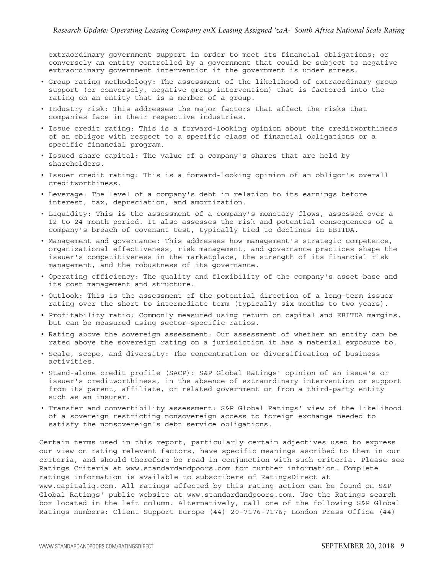extraordinary government support in order to meet its financial obligations; or conversely an entity controlled by a government that could be subject to negative extraordinary government intervention if the government is under stress.

- Group rating methodology: The assessment of the likelihood of extraordinary group support (or conversely, negative group intervention) that is factored into the rating on an entity that is a member of a group.
- Industry risk: This addresses the major factors that affect the risks that companies face in their respective industries.
- Issue credit rating: This is a forward-looking opinion about the creditworthiness of an obligor with respect to a specific class of financial obligations or a specific financial program.
- Issued share capital: The value of a company's shares that are held by shareholders.
- Issuer credit rating: This is a forward-looking opinion of an obligor's overall creditworthiness.
- Leverage: The level of a company's debt in relation to its earnings before interest, tax, depreciation, and amortization.
- Liquidity: This is the assessment of a company's monetary flows, assessed over a 12 to 24 month period. It also assesses the risk and potential consequences of a company's breach of covenant test, typically tied to declines in EBITDA.
- Management and governance: This addresses how management's strategic competence, organizational effectiveness, risk management, and governance practices shape the issuer's competitiveness in the marketplace, the strength of its financial risk management, and the robustness of its governance.
- Operating efficiency: The quality and flexibility of the company's asset base and its cost management and structure.
- Outlook: This is the assessment of the potential direction of a long-term issuer rating over the short to intermediate term (typically six months to two years).
- Profitability ratio: Commonly measured using return on capital and EBITDA margins, but can be measured using sector-specific ratios.
- Rating above the sovereign assessment: Our assessment of whether an entity can be rated above the sovereign rating on a jurisdiction it has a material exposure to.
- Scale, scope, and diversity: The concentration or diversification of business activities.
- Stand-alone credit profile (SACP): S&P Global Ratings' opinion of an issue's or issuer's creditworthiness, in the absence of extraordinary intervention or support from its parent, affiliate, or related government or from a third-party entity such as an insurer.
- Transfer and convertibility assessment: S&P Global Ratings' view of the likelihood of a sovereign restricting nonsovereign access to foreign exchange needed to satisfy the nonsovereign's debt service obligations.

Certain terms used in this report, particularly certain adjectives used to express our view on rating relevant factors, have specific meanings ascribed to them in our criteria, and should therefore be read in conjunction with such criteria. Please see Ratings Criteria at www.standardandpoors.com for further information. Complete ratings information is available to subscribers of RatingsDirect at www.capitaliq.com. All ratings affected by this rating action can be found on S&P Global Ratings' public website at www.standardandpoors.com. Use the Ratings search box located in the left column. Alternatively, call one of the following S&P Global Ratings numbers: Client Support Europe (44) 20-7176-7176; London Press Office (44)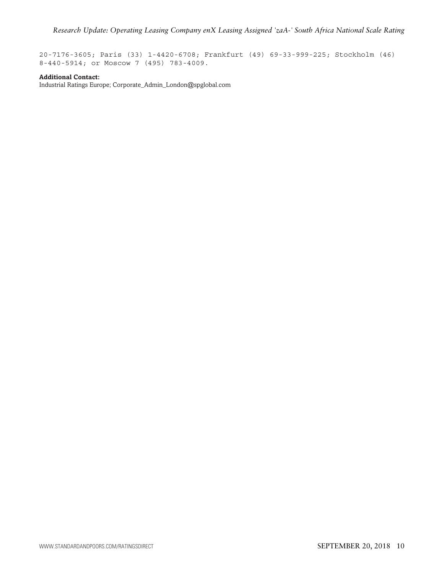20-7176-3605; Paris (33) 1-4420-6708; Frankfurt (49) 69-33-999-225; Stockholm (46) 8-440-5914; or Moscow 7 (495) 783-4009.

#### **Additional Contact:**

Industrial Ratings Europe; Corporate\_Admin\_London@spglobal.com